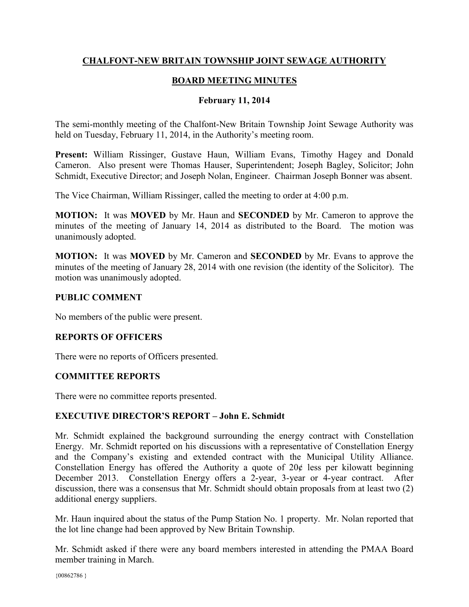# **CHALFONT-NEW BRITAIN TOWNSHIP JOINT SEWAGE AUTHORITY**

# **BOARD MEETING MINUTES**

#### **February 11, 2014**

The semi-monthly meeting of the Chalfont-New Britain Township Joint Sewage Authority was held on Tuesday, February 11, 2014, in the Authority's meeting room.

**Present:** William Rissinger, Gustave Haun, William Evans, Timothy Hagey and Donald Cameron. Also present were Thomas Hauser, Superintendent; Joseph Bagley, Solicitor; John Schmidt, Executive Director; and Joseph Nolan, Engineer. Chairman Joseph Bonner was absent.

The Vice Chairman, William Rissinger, called the meeting to order at 4:00 p.m.

**MOTION:** It was **MOVED** by Mr. Haun and **SECONDED** by Mr. Cameron to approve the minutes of the meeting of January 14, 2014 as distributed to the Board. The motion was unanimously adopted.

**MOTION:** It was **MOVED** by Mr. Cameron and **SECONDED** by Mr. Evans to approve the minutes of the meeting of January 28, 2014 with one revision (the identity of the Solicitor). The motion was unanimously adopted.

## **PUBLIC COMMENT**

No members of the public were present.

## **REPORTS OF OFFICERS**

There were no reports of Officers presented.

## **COMMITTEE REPORTS**

There were no committee reports presented.

## **EXECUTIVE DIRECTOR'S REPORT – John E. Schmidt**

Mr. Schmidt explained the background surrounding the energy contract with Constellation Energy. Mr. Schmidt reported on his discussions with a representative of Constellation Energy and the Company's existing and extended contract with the Municipal Utility Alliance. Constellation Energy has offered the Authority a quote of  $20¢$  less per kilowatt beginning December 2013. Constellation Energy offers a 2-year, 3-year or 4-year contract. After discussion, there was a consensus that Mr. Schmidt should obtain proposals from at least two (2) additional energy suppliers.

Mr. Haun inquired about the status of the Pump Station No. 1 property. Mr. Nolan reported that the lot line change had been approved by New Britain Township.

Mr. Schmidt asked if there were any board members interested in attending the PMAA Board member training in March.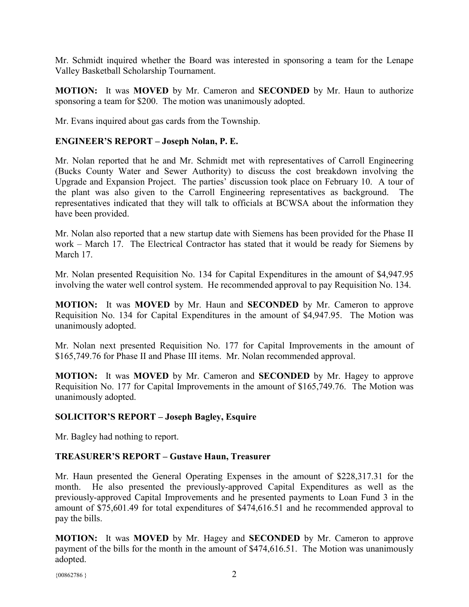Mr. Schmidt inquired whether the Board was interested in sponsoring a team for the Lenape Valley Basketball Scholarship Tournament.

**MOTION:** It was **MOVED** by Mr. Cameron and **SECONDED** by Mr. Haun to authorize sponsoring a team for \$200. The motion was unanimously adopted.

Mr. Evans inquired about gas cards from the Township.

#### **ENGINEER'S REPORT – Joseph Nolan, P. E.**

Mr. Nolan reported that he and Mr. Schmidt met with representatives of Carroll Engineering (Bucks County Water and Sewer Authority) to discuss the cost breakdown involving the Upgrade and Expansion Project. The parties' discussion took place on February 10. A tour of the plant was also given to the Carroll Engineering representatives as background. representatives indicated that they will talk to officials at BCWSA about the information they have been provided.

Mr. Nolan also reported that a new startup date with Siemens has been provided for the Phase II work – March 17. The Electrical Contractor has stated that it would be ready for Siemens by March 17

Mr. Nolan presented Requisition No. 134 for Capital Expenditures in the amount of \$4,947.95 involving the water well control system. He recommended approval to pay Requisition No. 134.

**MOTION:** It was **MOVED** by Mr. Haun and **SECONDED** by Mr. Cameron to approve Requisition No. 134 for Capital Expenditures in the amount of \$4,947.95. The Motion was unanimously adopted.

Mr. Nolan next presented Requisition No. 177 for Capital Improvements in the amount of \$165,749.76 for Phase II and Phase III items. Mr. Nolan recommended approval.

**MOTION:** It was **MOVED** by Mr. Cameron and **SECONDED** by Mr. Hagey to approve Requisition No. 177 for Capital Improvements in the amount of \$165,749.76. The Motion was unanimously adopted.

## **SOLICITOR'S REPORT – Joseph Bagley, Esquire**

Mr. Bagley had nothing to report.

## **TREASURER'S REPORT – Gustave Haun, Treasurer**

Mr. Haun presented the General Operating Expenses in the amount of \$228,317.31 for the month. He also presented the previously-approved Capital Expenditures as well as the previously-approved Capital Improvements and he presented payments to Loan Fund 3 in the amount of \$75,601.49 for total expenditures of \$474,616.51 and he recommended approval to pay the bills.

**MOTION:** It was **MOVED** by Mr. Hagey and **SECONDED** by Mr. Cameron to approve payment of the bills for the month in the amount of \$474,616.51. The Motion was unanimously adopted.